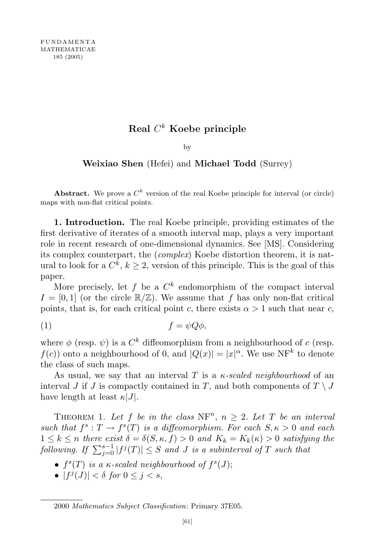## $\operatorname{Real} \, C^k$  Koebe principle

## by

## Weixiao Shen (Hefei) and Michael Todd (Surrey)

Abstract. We prove a  $C^k$  version of the real Koebe principle for interval (or circle) maps with non-flat critical points.

1. Introduction. The real Koebe principle, providing estimates of the first derivative of iterates of a smooth interval map, plays a very important role in recent research of one-dimensional dynamics. See [MS]. Considering its complex counterpart, the (complex) Koebe distortion theorem, it is natural to look for a  $C^k$ ,  $k \geq 2$ , version of this principle. This is the goal of this paper.

More precisely, let f be a  $C^k$  endomorphism of the compact interval  $I = [0, 1]$  (or the circle  $\mathbb{R}/\mathbb{Z}$ ). We assume that f has only non-flat critical points, that is, for each critical point c, there exists  $\alpha > 1$  such that near c,

$$
(1) \t\t f = \psi Q \phi,
$$

where  $\phi$  (resp.  $\psi$ ) is a  $C^k$  diffeomorphism from a neighbourhood of c (resp.  $f(c)$  onto a neighbourhood of 0, and  $|Q(x)| = |x|^{\alpha}$ . We use NF<sup>k</sup> to denote the class of such maps.

As usual, we say that an interval T is a  $\kappa$ -scaled neighbourhood of an interval J if J is compactly contained in T, and both components of  $T \setminus J$ have length at least  $\kappa|J|$ .

THEOREM 1. Let f be in the class  $NF^n$ ,  $n \geq 2$ . Let T be an interval such that  $f^s: T \to f^s(T)$  is a diffeomorphism. For each  $S, \kappa > 0$  and each  $1 \leq k \leq n$  there exist  $\delta = \delta(S, \kappa, f) > 0$  and  $K_k = K_k(\kappa) > 0$  satisfying the  $\textit{following. If } \sum_{j=0}^{s-1} |f^j(T)| \leq S \textit{ and } J \textit{ is a subinterval of } T \textit{ such that }$ 

- $f^s(T)$  is a  $\kappa$ -scaled neighbourhood of  $f^s(J)$ ;
- $|f^j(J)| < \delta$  for  $0 \le j < s$ ,

<sup>2000</sup> Mathematics Subject Classification: Primary 37E05.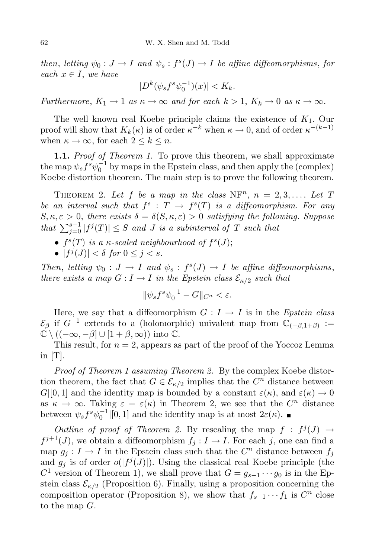then, letting  $\psi_0: J \to I$  and  $\psi_s: f^s(J) \to I$  be affine diffeomorphisms, for each  $x \in I$ , we have

$$
|D^k(\psi_s f^s \psi_0^{-1})(x)| < K_k.
$$

Furthermore,  $K_1 \to 1$  as  $\kappa \to \infty$  and for each  $k > 1$ ,  $K_k \to 0$  as  $\kappa \to \infty$ .

The well known real Koebe principle claims the existence of  $K_1$ . Our proof will show that  $K_k(\kappa)$  is of order  $\kappa^{-k}$  when  $\kappa \to 0$ , and of order  $\kappa^{-(k-1)}$ when  $\kappa \to \infty$ , for each  $2 \leq k \leq n$ .

1.1. Proof of Theorem 1. To prove this theorem, we shall approximate the map  $\psi_s f^s \psi_0^{-1}$  by maps in the Epstein class, and then apply the (complex) Koebe distortion theorem. The main step is to prove the following theorem.

THEOREM 2. Let f be a map in the class  $NF^n$ ,  $n = 2, 3, \ldots$  Let T be an interval such that  $f^s: T \to f^s(T)$  is a diffeomorphism. For any  $S, \kappa, \varepsilon > 0$ , there exists  $\delta = \delta(S, \kappa, \varepsilon) > 0$  satisfying the following. Suppose that  $\sum_{j=0}^{s-1} |f^j(T)| \leq S$  and J is a subinterval of T such that

- $f^s(T)$  is a  $\kappa$ -scaled neighbourhood of  $f^s(J)$ ;
- $|f^j(J)| < \delta$  for  $0 \le j < s$ .

Then, letting  $\psi_0: J \to I$  and  $\psi_s: f^s(J) \to I$  be affine diffeomorphisms, there exists a map  $G: I \to I$  in the Epstein class  $\mathcal{E}_{\kappa/2}$  such that

$$
\|\psi_s f^s \psi_0^{-1} - G\|_{C^n} < \varepsilon.
$$

Here, we say that a diffeomorphism  $G: I \rightarrow I$  is in the *Epstein class*  $\mathcal{E}_{\beta}$  if  $G^{-1}$  extends to a (holomorphic) univalent map from  $\mathbb{C}_{(-\beta,1+\beta)} :=$  $\mathbb{C} \setminus ((-\infty, -\beta] \cup [1+\beta, \infty))$  into  $\mathbb{C}$ .

This result, for  $n = 2$ , appears as part of the proof of the Yoccoz Lemma in  $[T]$ .

Proof of Theorem 1 assuming Theorem 2. By the complex Koebe distortion theorem, the fact that  $G \in \mathcal{E}_{\kappa/2}$  implies that the  $C^n$  distance between  $G|[0,1]$  and the identity map is bounded by a constant  $\varepsilon(\kappa)$ , and  $\varepsilon(\kappa) \to 0$ as  $\kappa \to \infty$ . Taking  $\varepsilon = \varepsilon(\kappa)$  in Theorem 2, we see that the  $C^n$  distance between  $\psi_s f^s \psi_0^{-1} |[0,1]$  and the identity map is at most  $2\varepsilon(\kappa)$ .

Outline of proof of Theorem 2. By rescaling the map  $f : f^j(J) \to$  $f^{j+1}(J)$ , we obtain a diffeomorphism  $f_j : I \to I$ . For each j, one can find a map  $g_j : I \to I$  in the Epstein class such that the  $C^n$  distance between  $f_j$ and  $g_j$  is of order  $o(|f^j(J)|)$ . Using the classical real Koebe principle (the  $C<sup>1</sup>$  version of Theorem 1), we shall prove that  $G = g_{s-1} \cdots g_0$  is in the Epstein class  $\mathcal{E}_{\kappa/2}$  (Proposition 6). Finally, using a proposition concerning the composition operator (Proposition 8), we show that  $f_{s-1} \cdots f_1$  is  $C^n$  close to the map G.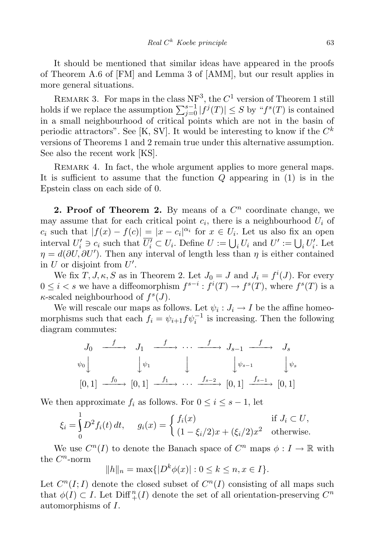It should be mentioned that similar ideas have appeared in the proofs of Theorem A.6 of [FM] and Lemma 3 of [AMM], but our result applies in more general situations.

REMARK 3. For maps in the class  $NF^3$ , the  $C^1$  version of Theorem 1 still holds if we replace the assumption  $\sum_{j=0}^{s-1} |f^j(T)| \leq S$  by " $f^s(T)$  is contained in a small neighbourhood of critical points which are not in the basin of periodic attractors". See [K, SV]. It would be interesting to know if the  $C^k$ versions of Theorems 1 and 2 remain true under this alternative assumption. See also the recent work [KS].

REMARK 4. In fact, the whole argument applies to more general maps. It is sufficient to assume that the function  $Q$  appearing in  $(1)$  is in the Epstein class on each side of 0.

2. Proof of Theorem 2. By means of a  $C<sup>n</sup>$  coordinate change, we may assume that for each critical point  $c_i$ , there is a neighbourhood  $U_i$  of c<sub>i</sub> such that  $|f(x) - f(c)| = |x - c_i|^{\alpha_i}$  for  $x \in U_i$ . Let us also fix an open interval  $U_i' \ni c_i$  such that  $\overline{U_i'} \subset U_i$ . Define  $U := \bigcup_i U_i$  and  $U' := \bigcup_i U_i'$ . Let  $\eta = d(\partial U, \partial U')$ . Then any interval of length less than  $\eta$  is either contained in U or disjoint from  $U'$ .

We fix  $T, J, \kappa, S$  as in Theorem 2. Let  $J_0 = J$  and  $J_i = f^i(J)$ . For every  $0 \leq i < s$  we have a diffeomorphism  $f^{s-i} : f^i(T) \to f^s(T)$ , where  $f^s(T)$  is a  $\kappa$ -scaled neighbourhood of  $f^s(J)$ .

We will rescale our maps as follows. Let  $\psi_i : J_i \to I$  be the affine homeomorphisms such that each  $f_i = \psi_{i+1} f \psi_i^{-1}$  is increasing. Then the following diagram commutes:

$$
J_0 \xrightarrow{f} J_1 \xrightarrow{f} \cdots \xrightarrow{f} J_{s-1} \xrightarrow{f} J_s
$$
  

$$
\psi_0 \downarrow \qquad \qquad \downarrow \qquad \qquad \downarrow \qquad \qquad \downarrow \qquad \qquad \downarrow \psi_{s-1} \qquad \qquad \downarrow \psi_s
$$
  

$$
[0,1] \xrightarrow{f_0} [0,1] \xrightarrow{f_1} \cdots \xrightarrow{f_{s-2}} [0,1] \xrightarrow{f_{s-1}} [0,1]
$$

We then approximate  $f_i$  as follows. For  $0 \leq i \leq s-1$ , let

$$
\xi_i = \int_0^1 D^2 f_i(t) dt, \quad g_i(x) = \begin{cases} f_i(x) & \text{if } J_i \subset U, \\ (1 - \xi_i/2)x + (\xi_i/2)x^2 & \text{otherwise.} \end{cases}
$$

We use  $C^n(I)$  to denote the Banach space of  $C^n$  maps  $\phi: I \to \mathbb{R}$  with the  $C<sup>n</sup>$ -norm

$$
||h||_n = \max\{|D^k \phi(x)| : 0 \le k \le n, x \in I\}.
$$

Let  $C^n(I; I)$  denote the closed subset of  $C^n(I)$  consisting of all maps such that  $\phi(I) \subset I$ . Let Diff<sup>n</sup><sup>{n}</sup>(*I*) denote the set of all orientation-preserving  $C^n$ automorphisms of I.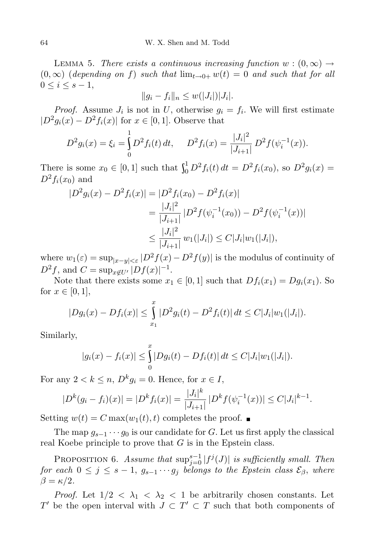LEMMA 5. There exists a continuous increasing function  $w:(0,\infty) \to$  $(0, \infty)$  (depending on f) such that  $\lim_{t\to 0+} w(t) = 0$  and such that for all  $0 \leq i \leq s-1$ ,

$$
||g_i - f_i||_n \le w(|J_i|) |J_i|.
$$

*Proof.* Assume  $J_i$  is not in U, otherwise  $g_i = f_i$ . We will first estimate  $|D^2 g_i(x) - D^2 f_i(x)|$  for  $x \in [0, 1]$ . Observe that

$$
D^2 g_i(x) = \xi_i = \int_0^1 D^2 f_i(t) dt, \quad D^2 f_i(x) = \frac{|J_i|^2}{|J_{i+1}|} D^2 f(\psi_i^{-1}(x)).
$$

There is some  $x_0 \in [0, 1]$  such that  $\int_0^1 D^2 f_i(t) dt = D^2 f_i(x_0)$ , so  $D^2 g_i(x) =$  $D^2f_i(x_0)$  and

$$
|D^2 g_i(x) - D^2 f_i(x)| = |D^2 f_i(x_0) - D^2 f_i(x)|
$$
  
= 
$$
\frac{|J_i|^2}{|J_{i+1}|} |D^2 f(\psi_i^{-1}(x_0)) - D^2 f(\psi_i^{-1}(x))|
$$
  

$$
\leq \frac{|J_i|^2}{|J_{i+1}|} w_1(|J_i|) \leq C|J_i|w_1(|J_i|),
$$

where  $w_1(\varepsilon) = \sup_{|x-y| \leq \varepsilon} |D^2 f(x) - D^2 f(y)|$  is the modulus of continuity of  $D^2 f$ , and  $C = \sup_{x \notin U'} |Df(x)|^{-1}$ .

Note that there exists some  $x_1 \in [0,1]$  such that  $Df_i(x_1) = Dg_i(x_1)$ . So for  $x \in [0,1]$ ,

$$
|Dg_i(x) - Df_i(x)| \leq \int_{x_1}^x |D^2g_i(t) - D^2f_i(t)| dt \leq C|J_i|w_1(|J_i|).
$$

Similarly,

$$
|g_i(x) - f_i(x)| \leq \int_0^x |Dg_i(t) - Df_i(t)| dt \leq C|J_i|w_1(|J_i|).
$$

For any  $2 < k \le n$ ,  $D^k g_i = 0$ . Hence, for  $x \in I$ ,

$$
|D^{k}(g_{i}-f_{i})(x)| = |D^{k}f_{i}(x)| = \frac{|J_{i}|^{k}}{|J_{i+1}|} |D^{k}f(\psi_{i}^{-1}(x))| \leq C|J_{i}|^{k-1}.
$$

Setting  $w(t) = C \max(w_1(t), t)$  completes the proof.

The map  $g_{s-1} \cdots g_0$  is our candidate for G. Let us first apply the classical real Koebe principle to prove that  $G$  is in the Epstein class.

PROPOSITION 6. Assume that  $\sup_{j=0}^{s-1} |f^j(J)|$  is sufficiently small. Then for each  $0 \leq j \leq s-1$ ,  $g_{s-1} \cdots g_j$  belongs to the Epstein class  $\mathcal{E}_{\beta}$ , where  $\beta = \kappa/2$ .

*Proof.* Let  $1/2 < \lambda_1 < \lambda_2 < 1$  be arbitrarily chosen constants. Let T' be the open interval with  $J \subset T' \subset T$  such that both components of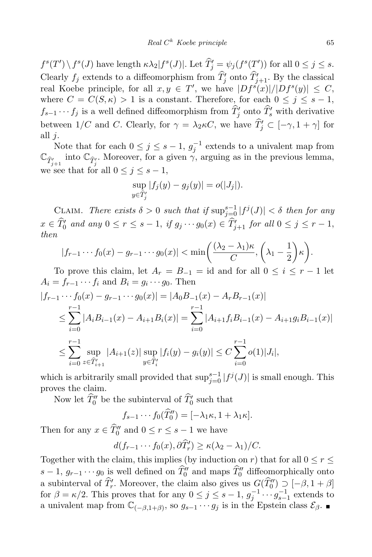$f^{s}(T')\setminus f^{s}(J)$  have length  $\kappa\lambda_2|f^{s}(J)|$ . Let  $\widetilde{T}'_j = \psi_j(f^{s}(T'))$  for all  $0 \leq j \leq s$ . Clearly  $f_j$  extends to a diffeomorphism from  $T'_j$  onto  $T'_{j+1}$ . By the classical real Koebe principle, for all  $x, y \in T'$ , we have  $|Df^s(x)|/|Df^s(y)| \leq C$ , where  $C = C(S, \kappa) > 1$  is a constant. Therefore, for each  $0 \leq j \leq s - 1$ ,  $f_{s-1} \cdots f_j$  is a well defined diffeomorphism from  $T'_j$  onto  $T'_s$  with derivative between  $1/C$  and C. Clearly, for  $\gamma = \lambda_2 \kappa C$ , we have  $T'_j \subset [-\gamma, 1 + \gamma]$  for all  $j$ .

Note that for each  $0 \leq j \leq s-1$ ,  $g_j^{-1}$  extends to a univalent map from  $\mathbb{C}_{\hat{T}_{j+1}'}$  into  $\mathbb{C}_{\hat{T}_j'}$ . Moreover, for a given  $\gamma$ , arguing as in the previous lemma, we see that for all  $0 \leq j \leq s - 1$ ,

$$
\sup_{y \in \widehat{T}'_j} |f_j(y) - g_j(y)| = o(|J_j|).
$$

CLAIM. There exists  $\delta > 0$  such that if  $\sup_{j=0}^{s-1} |f^j(J)| < \delta$  then for any  $x \in T'_0$  and any  $0 \le r \le s - 1$ , if  $g_j \cdots g_0(x) \in T'_{j+1}$  for all  $0 \le j \le r - 1$ , then

$$
|f_{r-1}\cdots f_0(x)-g_{r-1}\cdots g_0(x)|<\min\bigg(\frac{(\lambda_2-\lambda_1)\kappa}{C},\bigg(\lambda_1-\frac{1}{2}\bigg)\kappa\bigg).
$$

To prove this claim, let  $A_r = B_{-1} = id$  and for all  $0 \leq i \leq r - 1$  let  $A_i = f_{r-1} \cdots f_i$  and  $B_i = g_i \cdots g_0$ . Then

$$
|f_{r-1} \cdots f_0(x) - g_{r-1} \cdots g_0(x)| = |A_0 B_{-1}(x) - A_r B_{r-1}(x)|
$$
  
\n
$$
\leq \sum_{i=0}^{r-1} |A_i B_{i-1}(x) - A_{i+1} B_i(x)| = \sum_{i=0}^{r-1} |A_{i+1} f_i B_{i-1}(x) - A_{i+1} g_i B_{i-1}(x)|
$$
  
\n
$$
\leq \sum_{i=0}^{r-1} \sup_{z \in \hat{T}'_{i+1}} |A_{i+1}(z)| \sup_{y \in \hat{T}'_i} |f_i(y) - g_i(y)| \leq C \sum_{i=0}^{r-1} o(1) |J_i|,
$$

which is arbitrarily small provided that  $\sup_{j=0}^{s-1} |f^j(J)|$  is small enough. This proves the claim.

Now let  $T''_0$  be the subinterval of  $T'_0$  such that

$$
f_{s-1}\cdots f_0(\widehat{T}_0'') = [-\lambda_1\kappa, 1+\lambda_1\kappa].
$$

Then for any  $x \in T_0''$  and  $0 \le r \le s - 1$  we have

$$
d(f_{r-1}\cdots f_0(x),\partial \widehat{T}'_r)\geq \kappa(\lambda_2-\lambda_1)/C.
$$

Together with the claim, this implies (by induction on r) that for all  $0 \le r \le$  $s-1, g_{r-1} \cdots g_0$  is well defined on  $T''_0$  and maps  $T''_0$  diffeomorphically onto a subinterval of  $T_r'$ . Moreover, the claim also gives us  $G(T_0'') \supset -18, 18 \oplus 18$ for  $\beta = \kappa/2$ . This proves that for any  $0 \le j \le s-1$ ,  $g_j^{-1} \cdots g_{s-1}^{-1}$  extends to a univalent map from  $\mathbb{C}_{(-\beta,1+\beta)}$ , so  $g_{s-1} \cdots g_j$  is in the Epstein class  $\mathcal{E}_{\beta}$ .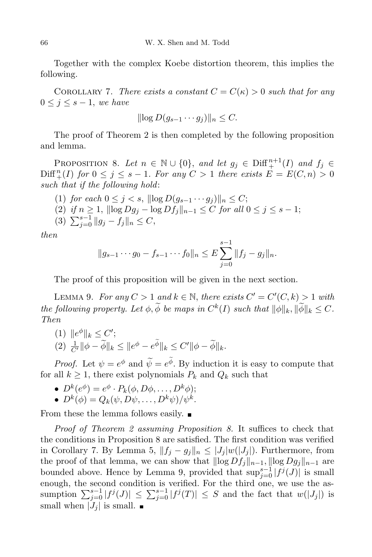Together with the complex Koebe distortion theorem, this implies the following.

COROLLARY 7. There exists a constant  $C = C(\kappa) > 0$  such that for any  $0 \leq j \leq s-1$ , we have

$$
\|\log D(g_{s-1}\cdots g_j)\|_n\leq C.
$$

The proof of Theorem 2 is then completed by the following proposition and lemma.

PROPOSITION 8. Let  $n \in \mathbb{N} \cup \{0\}$ , and let  $g_j \in \text{Diff}_{+}^{n+1}(I)$  and  $f_j \in \text{Diff}_{+}^{n+1}(I)$  $\text{Diff}^n_+(I)$  for  $0 \leq j \leq s-1$ . For any  $C > 1$  there exists  $E = E(C, n) > 0$ such that if the following hold:

(1) for each  $0 \leq j < s$ ,  $\|\log D(g_{s-1} \cdots g_j)\|_n \leq C$ ; (2) if  $n \ge 1$ ,  $\|\log Dg_j - \log Df_j\|_{n-1} \le C$  for all  $0 \le j \le s - 1$ ; (3)  $\sum_{j=0}^{s-1} ||g_j - f_j||_n \leq C,$ 

then

$$
||g_{s-1}\cdots g_0 - f_{s-1}\cdots f_0||_n \leq E\sum_{j=0}^{s-1}||f_j - g_j||_n.
$$

The proof of this proposition will be given in the next section.

LEMMA 9. For any  $C > 1$  and  $k \in \mathbb{N}$ , there exists  $C' = C'(C, k) > 1$  with the following property. Let  $\phi$ ,  $\phi$  be maps in  $C^k(I)$  such that  $\|\phi\|_k, \|\phi\|_k \leq C$ . Then

(1)  $||e^{\phi}||_k \leq C'$ ;  $(2)$   $\frac{1}{C'} \|\phi - \widetilde{\phi}\|_{k} \leq \|e^{\phi} - e^{\phi}\|_{k} \leq C' \|\phi - \widetilde{\phi}\|_{k}.$ 

*Proof.* Let  $\psi = e^{\phi}$  and  $\tilde{\psi} = e^{\phi}$ . By induction it is easy to compute that for all  $k \geq 1$ , there exist polynomials  $P_k$  and  $Q_k$  such that

- $D^k(e^{\phi}) = e^{\phi} \cdot P_k(\phi, D\phi, \ldots, D^k\phi);$
- $D^k(\phi) = Q_k(\psi, D\psi, \dots, D^k\psi)/\psi^k$ .

From these the lemma follows easily.  $\blacksquare$ 

Proof of Theorem 2 assuming Proposition 8. It suffices to check that the conditions in Proposition 8 are satisfied. The first condition was verified in Corollary 7. By Lemma 5,  $||f_j - g_j||_n \leq |J_j| w(|J_j|)$ . Furthermore, from the proof of that lemma, we can show that  $\|\log Df_j\|_{n-1}$ ,  $\|\log Dg_j\|_{n-1}$  are bounded above. Hence by Lemma 9, provided that  $\sup_{j=0}^{s-1} |f^{j}(J)|$  is small enough, the second condition is verified. For the third one, we use the assumption  $\sum_{j=0}^{s-1} |f^j(J)| \leq \sum_{j=0}^{s-1} |f^j(T)| \leq S$  and the fact that  $w(|J_j|)$  is small when  $|J_j|$  is small.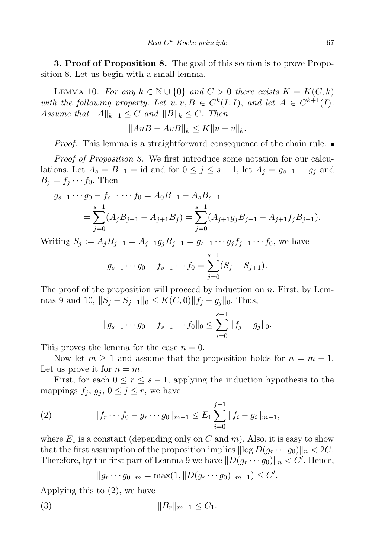**3. Proof of Proposition 8.** The goal of this section is to prove Proposition 8. Let us begin with a small lemma.

LEMMA 10. For any  $k \in \mathbb{N} \cup \{0\}$  and  $C > 0$  there exists  $K = K(C, k)$ with the following property. Let  $u, v, B \in C^k(I; I)$ , and let  $A \in C^{k+1}(I)$ . Assume that  $||A||_{k+1} \leq C$  and  $||B||_k \leq C$ . Then

$$
||AuB - AvB||_k \le K||u - v||_k.
$$

*Proof.* This lemma is a straightforward consequence of the chain rule.  $\blacksquare$ 

Proof of Proposition 8. We first introduce some notation for our calculations. Let  $A_s = B_{-1} = id$  and for  $0 \leq j \leq s - 1$ , let  $A_j = g_{s-1} \cdots g_j$  and  $B_j = f_j \cdots f_0$ . Then

$$
g_{s-1} \cdots g_0 - f_{s-1} \cdots f_0 = A_0 B_{-1} - A_s B_{s-1}
$$
  
= 
$$
\sum_{j=0}^{s-1} (A_j B_{j-1} - A_{j+1} B_j) = \sum_{j=0}^{s-1} (A_{j+1} g_j B_{j-1} - A_{j+1} f_j B_{j-1}).
$$

Writing  $S_j := A_j B_{j-1} = A_{j+1} g_j B_{j-1} = g_{s-1} \cdots g_j f_{j-1} \cdots f_0$ , we have  $s-1$ 

$$
g_{s-1}\cdots g_0 - f_{s-1}\cdots f_0 = \sum_{j=0}^{s-1} (S_j - S_{j+1}).
$$

The proof of the proposition will proceed by induction on  $n$ . First, by Lemmas 9 and 10,  $||S_j - S_{j+1}||_0 \leq K(C, 0) ||f_j - g_j||_0$ . Thus,

$$
||g_{s-1}\cdots g_0-f_{s-1}\cdots f_0||_0\leq \sum_{i=0}^{s-1}||f_j-g_j||_0.
$$

This proves the lemma for the case  $n = 0$ .

Now let  $m \geq 1$  and assume that the proposition holds for  $n = m - 1$ . Let us prove it for  $n = m$ .

First, for each  $0 \le r \le s - 1$ , applying the induction hypothesis to the mappings  $f_j, g_j, 0 \leq j \leq r$ , we have

(2) 
$$
||f_r \cdots f_0 - g_r \cdots g_0||_{m-1} \leq E_1 \sum_{i=0}^{j-1} ||f_i - g_i||_{m-1},
$$

where  $E_1$  is a constant (depending only on C and m). Also, it is easy to show that the first assumption of the proposition implies  $\|\log D(g_r \cdots g_0)\|_n < 2C$ . Therefore, by the first part of Lemma 9 we have  $||D(g_r \cdots g_0)||_n < C'$ . Hence,

$$
||g_r \cdots g_0||_m = \max(1, ||D(g_r \cdots g_0)||_{m-1}) \leq C'.
$$

Applying this to (2), we have

(3) 
$$
||B_r||_{m-1} \leq C_1.
$$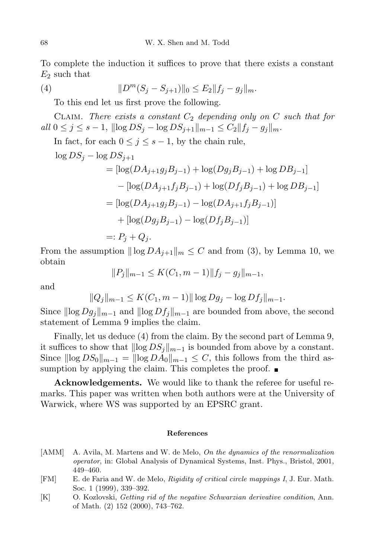To complete the induction it suffices to prove that there exists a constant  $E_2$  such that

(4) 
$$
||D^m(S_j - S_{j+1})||_0 \le E_2||f_j - g_j||_m.
$$

To this end let us first prove the following.

CLAIM. There exists a constant  $C_2$  depending only on C such that for all  $0 \leq j \leq s-1$ ,  $\|\log DS_j - \log DS_{j+1}\|_{m-1} \leq C_2 \|f_j - g_j\|_m$ .

In fact, for each  $0 \leq j \leq s-1$ , by the chain rule,

$$
\log DS_j - \log DS_{j+1}
$$
  
=  $[\log(DA_{j+1}g_jB_{j-1}) + \log(Dg_jB_{j-1}) + \log DB_{j-1}]$   
 $- [\log(DA_{j+1}f_jB_{j-1}) + \log(Df_jB_{j-1}) + \log DB_{j-1}]$   
=  $[\log(DA_{j+1}g_jB_{j-1}) - \log(DA_{j+1}f_jB_{j-1})]$   
+  $[\log(Dg_jB_{j-1}) - \log(Df_jB_{j-1})]$   
=:  $P_j + Q_j$ .

From the assumption  $\|\log DA_{i+1}\|_m \leq C$  and from (3), by Lemma 10, we obtain

$$
||P_j||_{m-1} \le K(C_1, m-1)||f_j - g_j||_{m-1},
$$

and

$$
||Q_j||_{m-1} \le K(C_1, m-1)||\log Dg_j - \log Df_j||_{m-1}.
$$

Since  $\|\log Dg_j\|_{m-1}$  and  $\|\log Df_j\|_{m-1}$  are bounded from above, the second statement of Lemma 9 implies the claim.

Finally, let us deduce (4) from the claim. By the second part of Lemma 9, it suffices to show that  $\|\log DS_j\|_{m-1}$  is bounded from above by a constant. Since  $\|\log DS_0\|_{m-1} = \|\log DA_0\|_{m-1} \leq C$ , this follows from the third assumption by applying the claim. This completes the proof.  $\blacksquare$ 

Acknowledgements. We would like to thank the referee for useful remarks. This paper was written when both authors were at the University of Warwick, where WS was supported by an EPSRC grant.

## References

- [AMM] A. Avila, M. Martens and W. de Melo, On the dynamics of the renormalization operator, in: Global Analysis of Dynamical Systems, Inst. Phys., Bristol, 2001, 449–460.
- [FM] E. de Faria and W. de Melo, Rigidity of critical circle mappings I, J. Eur. Math. Soc. 1 (1999), 339–392.
- [K] O. Kozlovski, Getting rid of the negative Schwarzian derivative condition, Ann. of Math. (2) 152 (2000), 743–762.